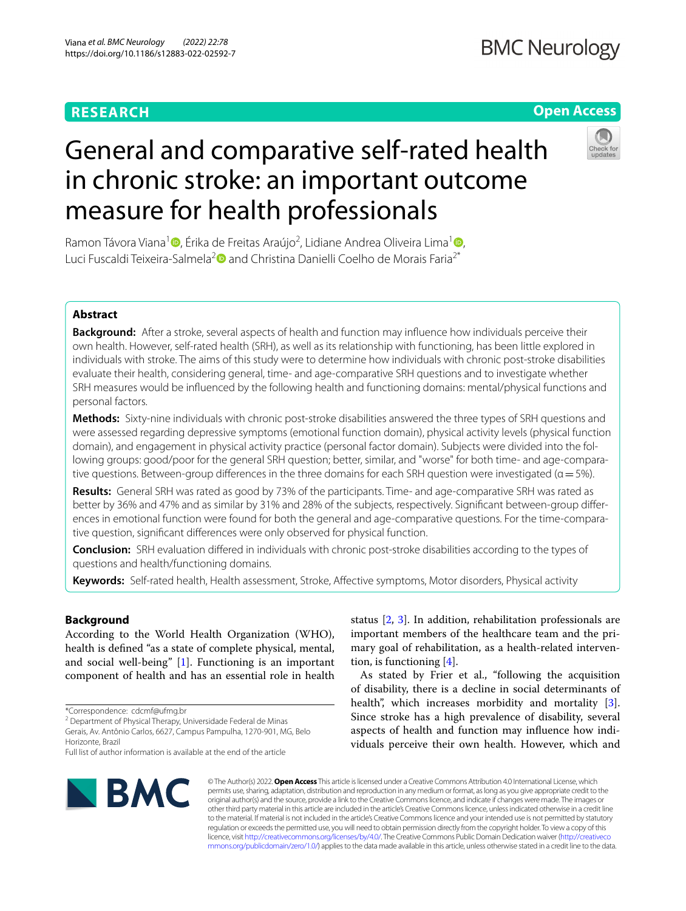# **RESEARCH**

# **Open Access**

# General and comparative self-rated health in chronic stroke: an important outcome measure for health professionals

Ramon Távora Viana<sup>1</sup> D[,](http://orcid.org/0000-0002-3542-1070) Érika de Freitas Araújo<sup>2</sup>, Lidiane Andrea Oliveira Lima<sup>[1](http://orcid.org/0000-0001-8959-8894)</sup> D, Luci Fuscaldi Teixeira-Salmela<sup>[2](http://orcid.org/0000-0001-8358-8636)</sup><sup>o</sup> and Christina Danielli Coelho de Morais Faria<sup>2\*</sup>

## **Abstract**

**Background:** After a stroke, several aspects of health and function may infuence how individuals perceive their own health. However, self-rated health (SRH), as well as its relationship with functioning, has been little explored in individuals with stroke. The aims of this study were to determine how individuals with chronic post-stroke disabilities evaluate their health, considering general, time- and age-comparative SRH questions and to investigate whether SRH measures would be infuenced by the following health and functioning domains: mental/physical functions and personal factors.

**Methods:** Sixty-nine individuals with chronic post-stroke disabilities answered the three types of SRH questions and were assessed regarding depressive symptoms (emotional function domain), physical activity levels (physical function domain), and engagement in physical activity practice (personal factor domain). Subjects were divided into the following groups: good/poor for the general SRH question; better, similar, and "worse" for both time- and age-comparative questions. Between-group differences in the three domains for each SRH question were investigated ( $\alpha$  = 5%).

**Results:** General SRH was rated as good by 73% of the participants. Time- and age-comparative SRH was rated as better by 36% and 47% and as similar by 31% and 28% of the subjects, respectively. Significant between-group differences in emotional function were found for both the general and age-comparative questions. For the time-comparative question, signifcant diferences were only observed for physical function.

**Conclusion:** SRH evaluation difered in individuals with chronic post-stroke disabilities according to the types of questions and health/functioning domains.

**Keywords:** Self-rated health, Health assessment, Stroke, Afective symptoms, Motor disorders, Physical activity

### **Background**

According to the World Health Organization (WHO), health is defned "as a state of complete physical, mental, and social well-being" [[1\]](#page-7-0). Functioning is an important component of health and has an essential role in health

<sup>2</sup> Department of Physical Therapy, Universidade Federal de Minas Gerais, Av. Antônio Carlos, 6627, Campus Pampulha, 1270‑901, MG, Belo Horizonte, Brazil

status [\[2](#page-7-1), [3\]](#page-7-2). In addition, rehabilitation professionals are important members of the healthcare team and the primary goal of rehabilitation, as a health-related intervention, is functioning [[4\]](#page-7-3).

As stated by Frier et al., "following the acquisition of disability, there is a decline in social determinants of health", which increases morbidity and mortality [\[3](#page-7-2)]. Since stroke has a high prevalence of disability, several aspects of health and function may infuence how individuals perceive their own health. However, which and



© The Author(s) 2022. **Open Access** This article is licensed under a Creative Commons Attribution 4.0 International License, which permits use, sharing, adaptation, distribution and reproduction in any medium or format, as long as you give appropriate credit to the original author(s) and the source, provide a link to the Creative Commons licence, and indicate if changes were made. The images or other third party material in this article are included in the article's Creative Commons licence, unless indicated otherwise in a credit line to the material. If material is not included in the article's Creative Commons licence and your intended use is not permitted by statutory regulation or exceeds the permitted use, you will need to obtain permission directly from the copyright holder. To view a copy of this licence, visit [http://creativecommons.org/licenses/by/4.0/.](http://creativecommons.org/licenses/by/4.0/) The Creative Commons Public Domain Dedication waiver ([http://creativeco](http://creativecommons.org/publicdomain/zero/1.0/) [mmons.org/publicdomain/zero/1.0/](http://creativecommons.org/publicdomain/zero/1.0/)) applies to the data made available in this article, unless otherwise stated in a credit line to the data.

<sup>\*</sup>Correspondence: cdcmf@ufmg.br

Full list of author information is available at the end of the article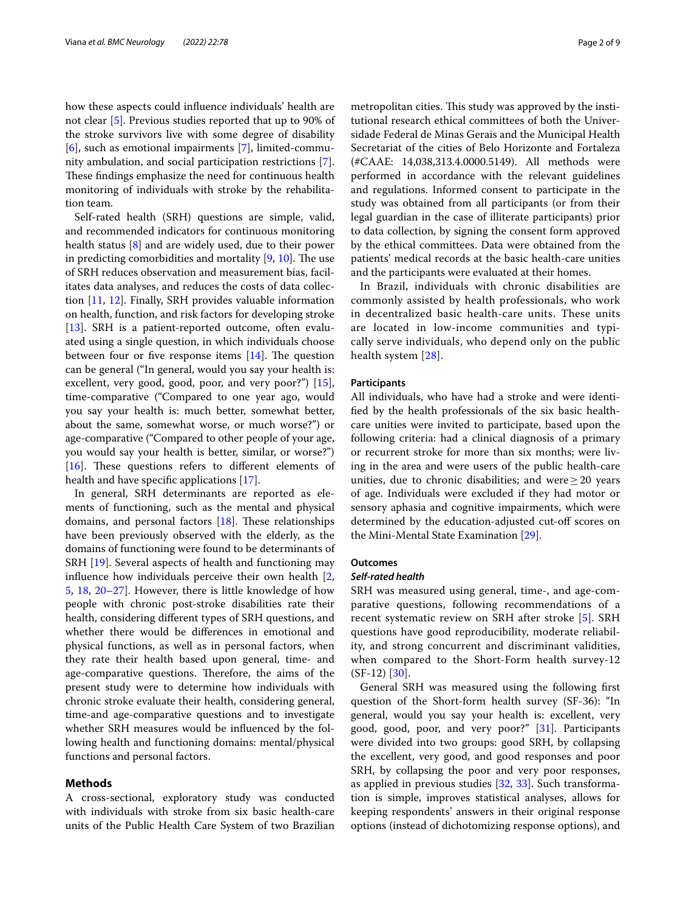how these aspects could infuence individuals' health are not clear [[5\]](#page-7-4). Previous studies reported that up to 90% of the stroke survivors live with some degree of disability [[6\]](#page-7-5), such as emotional impairments [[7\]](#page-7-6), limited-community ambulation, and social participation restrictions [\[7](#page-7-6)]. These findings emphasize the need for continuous health monitoring of individuals with stroke by the rehabilitation team.

Self-rated health (SRH) questions are simple, valid, and recommended indicators for continuous monitoring health status [\[8](#page-7-7)] and are widely used, due to their power in predicting comorbidities and mortality  $[9, 10]$  $[9, 10]$  $[9, 10]$  $[9, 10]$ . The use of SRH reduces observation and measurement bias, facilitates data analyses, and reduces the costs of data collection [\[11](#page-7-10), [12](#page-7-11)]. Finally, SRH provides valuable information on health, function, and risk factors for developing stroke [[13\]](#page-7-12). SRH is a patient-reported outcome, often evaluated using a single question, in which individuals choose between four or five response items  $[14]$  $[14]$ . The question can be general ("In general, would you say your health is: excellent, very good, good, poor, and very poor?") [\[15](#page-7-14)], time-comparative ("Compared to one year ago, would you say your health is: much better, somewhat better, about the same, somewhat worse, or much worse?") or age-comparative ("Compared to other people of your age, you would say your health is better, similar, or worse?")  $[16]$  $[16]$ . These questions refers to different elements of health and have specifc applications [[17\]](#page-7-16).

In general, SRH determinants are reported as elements of functioning, such as the mental and physical domains, and personal factors  $[18]$  $[18]$ . These relationships have been previously observed with the elderly, as the domains of functioning were found to be determinants of SRH [[19](#page-7-18)]. Several aspects of health and functioning may infuence how individuals perceive their own health [\[2](#page-7-1), [5,](#page-7-4) [18,](#page-7-17) [20](#page-7-19)[–27](#page-7-20)]. However, there is little knowledge of how people with chronic post-stroke disabilities rate their health, considering diferent types of SRH questions, and whether there would be diferences in emotional and physical functions, as well as in personal factors, when they rate their health based upon general, time- and age-comparative questions. Therefore, the aims of the present study were to determine how individuals with chronic stroke evaluate their health, considering general, time-and age-comparative questions and to investigate whether SRH measures would be infuenced by the following health and functioning domains: mental/physical functions and personal factors.

#### **Methods**

A cross-sectional, exploratory study was conducted with individuals with stroke from six basic health-care units of the Public Health Care System of two Brazilian metropolitan cities. This study was approved by the institutional research ethical committees of both the Universidade Federal de Minas Gerais and the Municipal Health Secretariat of the cities of Belo Horizonte and Fortaleza (#CAAE: 14,038,313.4.0000.5149). All methods were performed in accordance with the relevant guidelines and regulations. Informed consent to participate in the study was obtained from all participants (or from their legal guardian in the case of illiterate participants) prior to data collection, by signing the consent form approved by the ethical committees. Data were obtained from the patients' medical records at the basic health-care unities and the participants were evaluated at their homes.

In Brazil, individuals with chronic disabilities are commonly assisted by health professionals, who work in decentralized basic health-care units. These units are located in low-income communities and typically serve individuals, who depend only on the public health system [[28](#page-7-21)].

#### **Participants**

All individuals, who have had a stroke and were identifed by the health professionals of the six basic healthcare unities were invited to participate, based upon the following criteria: had a clinical diagnosis of a primary or recurrent stroke for more than six months; were living in the area and were users of the public health-care unities, due to chronic disabilities; and were  $\geq 20$  years of age. Individuals were excluded if they had motor or sensory aphasia and cognitive impairments, which were determined by the education-adjusted cut-off scores on the Mini-Mental State Examination [\[29](#page-7-22)].

#### **Outcomes**

#### *Self‑rated health*

SRH was measured using general, time-, and age-comparative questions, following recommendations of a recent systematic review on SRH after stroke [[5\]](#page-7-4). SRH questions have good reproducibility, moderate reliability, and strong concurrent and discriminant validities, when compared to the Short-Form health survey-12  $(SF-12)$  [\[30](#page-7-23)].

General SRH was measured using the following frst question of the Short-form health survey (SF-36): "In general, would you say your health is: excellent, very good, good, poor, and very poor?" [\[31](#page-7-24)]. Participants were divided into two groups: good SRH, by collapsing the excellent, very good, and good responses and poor SRH, by collapsing the poor and very poor responses, as applied in previous studies [\[32](#page-7-25), [33](#page-7-26)]. Such transformation is simple, improves statistical analyses, allows for keeping respondents' answers in their original response options (instead of dichotomizing response options), and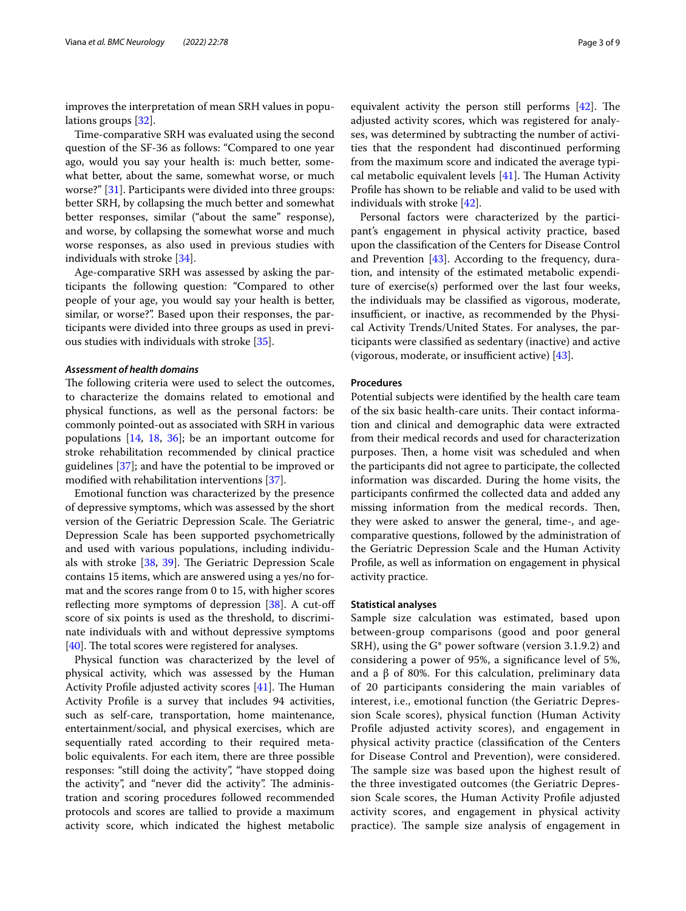improves the interpretation of mean SRH values in populations groups [[32\]](#page-7-25).

Time-comparative SRH was evaluated using the second question of the SF-36 as follows: "Compared to one year ago, would you say your health is: much better, somewhat better, about the same, somewhat worse, or much worse?" [[31\]](#page-7-24). Participants were divided into three groups: better SRH, by collapsing the much better and somewhat better responses, similar ("about the same" response), and worse, by collapsing the somewhat worse and much worse responses, as also used in previous studies with individuals with stroke [\[34\]](#page-7-27).

Age-comparative SRH was assessed by asking the participants the following question: "Compared to other people of your age, you would say your health is better, similar, or worse?". Based upon their responses, the participants were divided into three groups as used in previous studies with individuals with stroke [\[35\]](#page-7-28).

#### *Assessment of health domains*

The following criteria were used to select the outcomes, to characterize the domains related to emotional and physical functions, as well as the personal factors: be commonly pointed-out as associated with SRH in various populations [[14](#page-7-13), [18,](#page-7-17) [36](#page-7-29)]; be an important outcome for stroke rehabilitation recommended by clinical practice guidelines [[37\]](#page-7-30); and have the potential to be improved or modifed with rehabilitation interventions [\[37](#page-7-30)].

Emotional function was characterized by the presence of depressive symptoms, which was assessed by the short version of the Geriatric Depression Scale. The Geriatric Depression Scale has been supported psychometrically and used with various populations, including individuals with stroke  $[38, 39]$  $[38, 39]$  $[38, 39]$ . The Geriatric Depression Scale contains 15 items, which are answered using a yes/no format and the scores range from 0 to 15, with higher scores reflecting more symptoms of depression  $[38]$  $[38]$  $[38]$ . A cut-off score of six points is used as the threshold, to discriminate individuals with and without depressive symptoms  $[40]$  $[40]$ . The total scores were registered for analyses.

Physical function was characterized by the level of physical activity, which was assessed by the Human Activity Profile adjusted activity scores  $[41]$  $[41]$ . The Human Activity Profle is a survey that includes 94 activities, such as self-care, transportation, home maintenance, entertainment/social, and physical exercises, which are sequentially rated according to their required metabolic equivalents. For each item, there are three possible responses: "still doing the activity", "have stopped doing the activity", and "never did the activity". The administration and scoring procedures followed recommended protocols and scores are tallied to provide a maximum activity score, which indicated the highest metabolic equivalent activity the person still performs  $[42]$ . The adjusted activity scores, which was registered for analyses, was determined by subtracting the number of activities that the respondent had discontinued performing from the maximum score and indicated the average typical metabolic equivalent levels  $[41]$  $[41]$ . The Human Activity Profle has shown to be reliable and valid to be used with individuals with stroke [\[42\]](#page-8-1).

Personal factors were characterized by the participant's engagement in physical activity practice, based upon the classifcation of the Centers for Disease Control and Prevention [\[43](#page-8-2)]. According to the frequency, duration, and intensity of the estimated metabolic expenditure of exercise(s) performed over the last four weeks, the individuals may be classifed as vigorous, moderate, insufficient, or inactive, as recommended by the Physical Activity Trends/United States. For analyses, the participants were classifed as sedentary (inactive) and active (vigorous, moderate, or insufficient active)  $[43]$  $[43]$ .

#### **Procedures**

Potential subjects were identifed by the health care team of the six basic health-care units. Their contact information and clinical and demographic data were extracted from their medical records and used for characterization purposes. Then, a home visit was scheduled and when the participants did not agree to participate, the collected information was discarded. During the home visits, the participants confrmed the collected data and added any missing information from the medical records. Then, they were asked to answer the general, time-, and agecomparative questions, followed by the administration of the Geriatric Depression Scale and the Human Activity Profle, as well as information on engagement in physical activity practice.

#### **Statistical analyses**

Sample size calculation was estimated, based upon between-group comparisons (good and poor general SRH), using the G\* power software (version 3.1.9.2) and considering a power of 95%, a signifcance level of 5%, and a β of 80%. For this calculation, preliminary data of 20 participants considering the main variables of interest, i.e., emotional function (the Geriatric Depression Scale scores), physical function (Human Activity Profle adjusted activity scores), and engagement in physical activity practice (classifcation of the Centers for Disease Control and Prevention), were considered. The sample size was based upon the highest result of the three investigated outcomes (the Geriatric Depression Scale scores, the Human Activity Profle adjusted activity scores, and engagement in physical activity practice). The sample size analysis of engagement in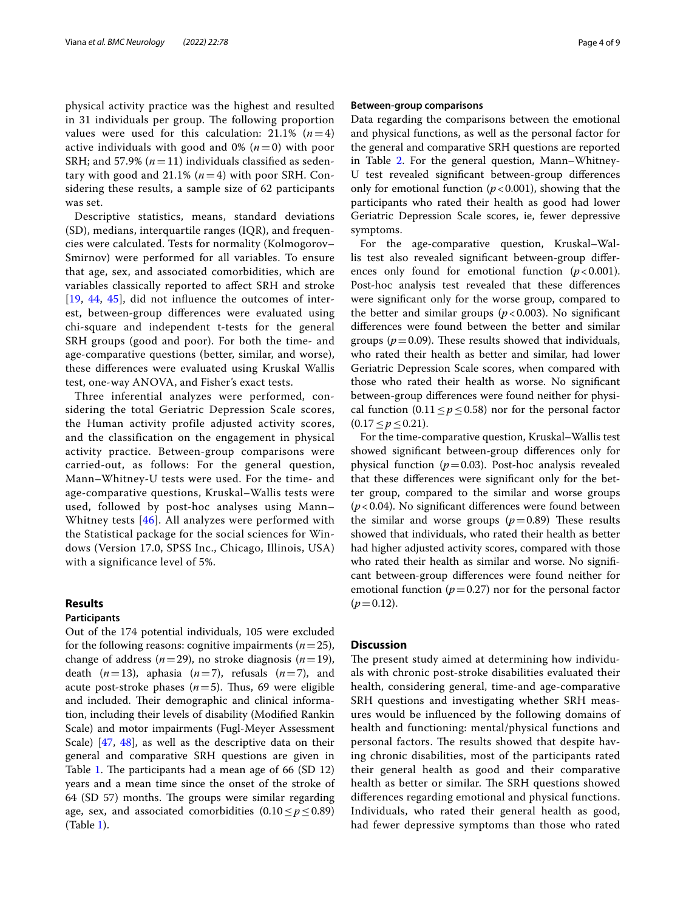physical activity practice was the highest and resulted in 31 individuals per group. The following proportion values were used for this calculation:  $21.1\%$  ( $n=4$ ) active individuals with good and  $0\%$   $(n=0)$  with poor SRH; and 57.9%  $(n=11)$  individuals classified as sedentary with good and  $21.1\%$  ( $n=4$ ) with poor SRH. Considering these results, a sample size of 62 participants was set.

Descriptive statistics, means, standard deviations (SD), medians, interquartile ranges (IQR), and frequencies were calculated. Tests for normality (Kolmogorov– Smirnov) were performed for all variables. To ensure that age, sex, and associated comorbidities, which are variables classically reported to afect SRH and stroke [[19](#page-7-18), [44,](#page-8-3) [45](#page-8-4)], did not infuence the outcomes of interest, between-group diferences were evaluated using chi-square and independent t-tests for the general SRH groups (good and poor). For both the time- and age-comparative questions (better, similar, and worse), these diferences were evaluated using Kruskal Wallis test, one-way ANOVA, and Fisher's exact tests.

Three inferential analyzes were performed, considering the total Geriatric Depression Scale scores, the Human activity profile adjusted activity scores, and the classification on the engagement in physical activity practice. Between-group comparisons were carried-out, as follows: For the general question, Mann–Whitney-U tests were used. For the time- and age-comparative questions, Kruskal–Wallis tests were used, followed by post-hoc analyses using Mann– Whitney tests [[46](#page-8-5)]. All analyzes were performed with the Statistical package for the social sciences for Windows (Version 17.0, SPSS Inc., Chicago, Illinois, USA) with a significance level of 5%.

#### **Results**

#### **Participants**

Out of the 174 potential individuals, 105 were excluded for the following reasons: cognitive impairments  $(n=25)$ , change of address ( $n=29$ ), no stroke diagnosis ( $n=19$ ), death  $(n=13)$ , aphasia  $(n=7)$ , refusals  $(n=7)$ , and acute post-stroke phases  $(n=5)$ . Thus, 69 were eligible and included. Their demographic and clinical information, including their levels of disability (Modifed Rankin Scale) and motor impairments (Fugl-Meyer Assessment Scale) [\[47](#page-8-6), [48](#page-8-7)], as well as the descriptive data on their general and comparative SRH questions are given in Table [1](#page-4-0). The participants had a mean age of  $66$  (SD 12) years and a mean time since the onset of the stroke of 64 (SD 57) months. The groups were similar regarding age, sex, and associated comorbidities  $(0.10 \le p \le 0.89)$ (Table [1](#page-4-0)).

#### **Between‑group comparisons**

Data regarding the comparisons between the emotional and physical functions, as well as the personal factor for the general and comparative SRH questions are reported in Table [2](#page-5-0). For the general question, Mann–Whitney-U test revealed signifcant between-group diferences only for emotional function  $(p<0.001)$ , showing that the participants who rated their health as good had lower Geriatric Depression Scale scores, ie, fewer depressive symptoms.

For the age-comparative question, Kruskal–Wallis test also revealed signifcant between-group diferences only found for emotional function  $(p<0.001)$ . Post-hoc analysis test revealed that these diferences were signifcant only for the worse group, compared to the better and similar groups  $(p < 0.003)$ . No significant diferences were found between the better and similar groups ( $p = 0.09$ ). These results showed that individuals, who rated their health as better and similar, had lower Geriatric Depression Scale scores, when compared with those who rated their health as worse. No signifcant between-group diferences were found neither for physical function (0.11  $\leq p \leq$  0.58) nor for the personal factor (0.17≤*p*≤0.21).

For the time-comparative question, Kruskal–Wallis test showed signifcant between-group diferences only for physical function  $(p=0.03)$ . Post-hoc analysis revealed that these diferences were signifcant only for the better group, compared to the similar and worse groups (*p*<0.04). No signifcant diferences were found between the similar and worse groups  $(p=0.89)$  These results showed that individuals, who rated their health as better had higher adjusted activity scores, compared with those who rated their health as similar and worse. No significant between-group diferences were found neither for emotional function  $(p=0.27)$  nor for the personal factor  $(p=0.12)$ .

#### **Discussion**

The present study aimed at determining how individuals with chronic post-stroke disabilities evaluated their health, considering general, time-and age-comparative SRH questions and investigating whether SRH measures would be infuenced by the following domains of health and functioning: mental/physical functions and personal factors. The results showed that despite having chronic disabilities, most of the participants rated their general health as good and their comparative health as better or similar. The SRH questions showed diferences regarding emotional and physical functions. Individuals, who rated their general health as good, had fewer depressive symptoms than those who rated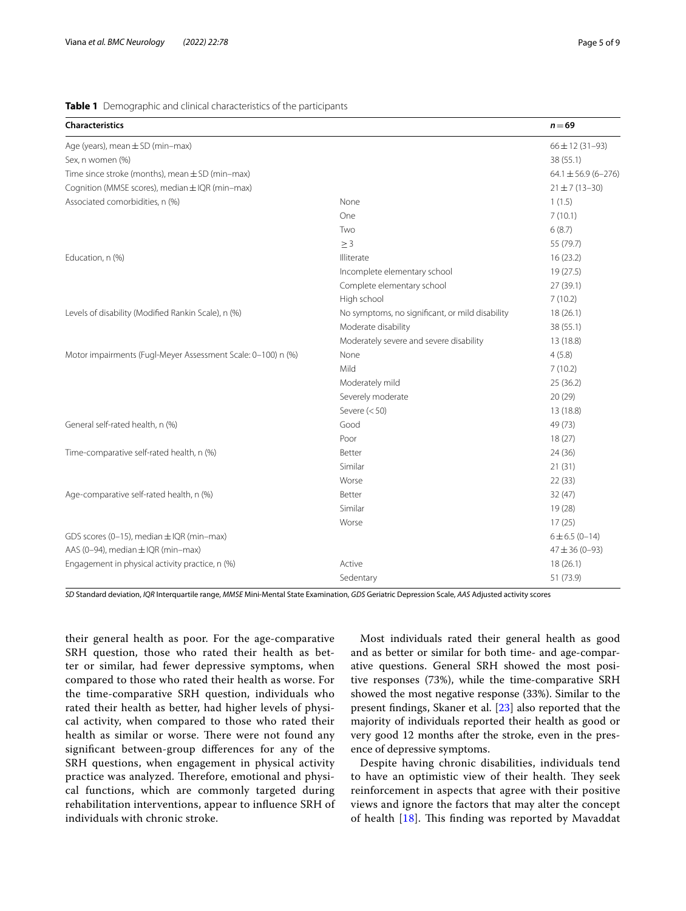#### <span id="page-4-0"></span>**Table 1** Demographic and clinical characteristics of the participants

| Characteristics                                              |                                                 | $n = 69$                  |
|--------------------------------------------------------------|-------------------------------------------------|---------------------------|
| Age (years), mean $\pm$ SD (min-max)                         |                                                 | $66 \pm 12 (31 - 93)$     |
| Sex, n women (%)                                             |                                                 | 38 (55.1)                 |
| Time since stroke (months), mean $\pm$ SD (min-max)          |                                                 | $64.1 \pm 56.9 (6 - 276)$ |
| Cognition (MMSE scores), median ± IQR (min-max)              |                                                 | $21 \pm 7(13 - 30)$       |
| Associated comorbidities, n (%)                              | None                                            | 1(1.5)                    |
|                                                              | One                                             | 7(10.1)                   |
|                                                              | Two                                             | 6(8.7)                    |
|                                                              | $\geq$ 3                                        | 55 (79.7)                 |
| Education, n (%)                                             | Illiterate                                      | 16(23.2)                  |
|                                                              | Incomplete elementary school                    | 19(27.5)                  |
|                                                              | Complete elementary school                      | 27(39.1)                  |
|                                                              | High school                                     | 7(10.2)                   |
| Levels of disability (Modified Rankin Scale), n (%)          | No symptoms, no significant, or mild disability | 18(26.1)                  |
|                                                              | Moderate disability                             | 38 (55.1)                 |
|                                                              | Moderately severe and severe disability         | 13 (18.8)                 |
| Motor impairments (Fugl-Meyer Assessment Scale: 0-100) n (%) | None                                            | 4(5.8)                    |
|                                                              | Mild                                            | 7(10.2)                   |
|                                                              | Moderately mild                                 | 25 (36.2)                 |
|                                                              | Severely moderate                               | 20(29)                    |
|                                                              | Severe $(< 50)$                                 | 13 (18.8)                 |
| General self-rated health, n (%)                             | Good                                            | 49 (73)                   |
|                                                              | Poor                                            | 18(27)                    |
| Time-comparative self-rated health, n (%)                    | Better                                          | 24 (36)                   |
|                                                              | Similar                                         | 21(31)                    |
|                                                              | Worse                                           | 22(33)                    |
| Age-comparative self-rated health, n (%)                     | Better                                          | 32(47)                    |
|                                                              | Similar                                         | 19 (28)                   |
|                                                              | Worse                                           | 17(25)                    |
| GDS scores (0-15), median ± IQR (min-max)                    |                                                 | $6 \pm 6.5$ (0-14)        |
| AAS (0-94), median ± IQR (min-max)                           |                                                 | $47 \pm 36 (0 - 93)$      |
| Engagement in physical activity practice, n (%)              | Active                                          | 18(26.1)                  |
|                                                              | Sedentary                                       | 51 (73.9)                 |

*SD* Standard deviation, *IQR* Interquartile range, *MMSE* Mini-Mental State Examination, *GDS* Geriatric Depression Scale, *AAS* Adjusted activity scores

their general health as poor. For the age-comparative SRH question, those who rated their health as better or similar, had fewer depressive symptoms, when compared to those who rated their health as worse. For the time-comparative SRH question, individuals who rated their health as better, had higher levels of physical activity, when compared to those who rated their health as similar or worse. There were not found any signifcant between-group diferences for any of the SRH questions, when engagement in physical activity practice was analyzed. Therefore, emotional and physical functions, which are commonly targeted during rehabilitation interventions, appear to infuence SRH of individuals with chronic stroke.

Most individuals rated their general health as good and as better or similar for both time- and age-comparative questions. General SRH showed the most positive responses (73%), while the time-comparative SRH showed the most negative response (33%). Similar to the present fndings, Skaner et al. [\[23\]](#page-7-34) also reported that the majority of individuals reported their health as good or very good 12 months after the stroke, even in the presence of depressive symptoms.

Despite having chronic disabilities, individuals tend to have an optimistic view of their health. They seek reinforcement in aspects that agree with their positive views and ignore the factors that may alter the concept of health  $[18]$  $[18]$ . This finding was reported by Mavaddat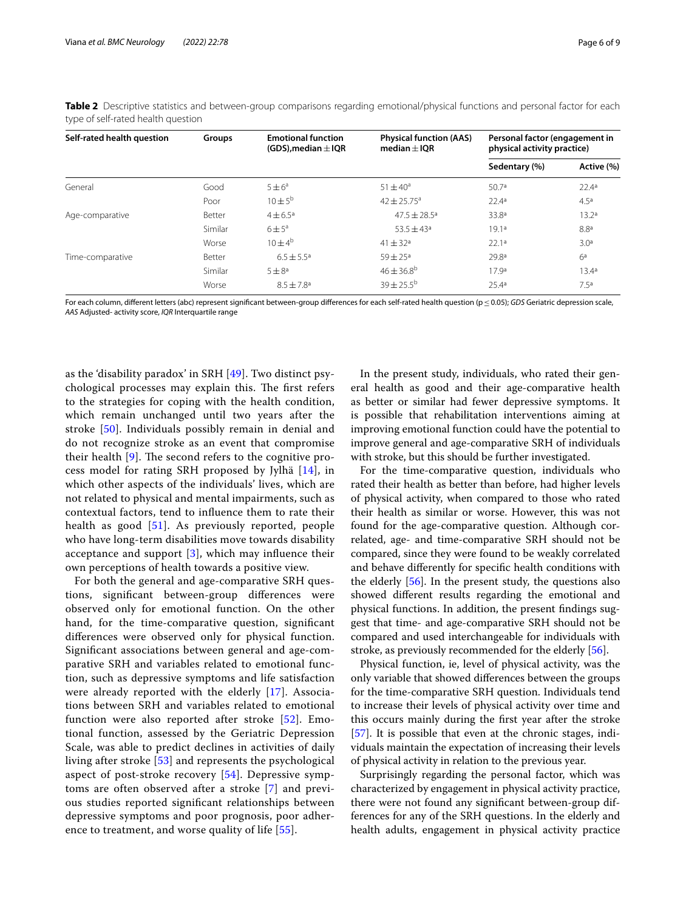| Self-rated health question | <b>Groups</b> | <b>Emotional function</b><br>(GDS), median $\pm$ IQR | <b>Physical function (AAS)</b><br>median $\pm$ IOR | Personal factor (engagement in<br>physical activity practice) |                   |
|----------------------------|---------------|------------------------------------------------------|----------------------------------------------------|---------------------------------------------------------------|-------------------|
|                            |               |                                                      |                                                    | Sedentary (%)                                                 | Active (%)        |
| General                    | Good          | $5 \pm 6^a$                                          | $51 \pm 40^{\circ}$                                | 50.7a                                                         | 22.4a             |
|                            | Poor          | $10 \pm 5^{\rm b}$                                   | $42 \pm 25.75^{\circ}$                             | 22.4 <sup>a</sup>                                             | 4.5a              |
| Age-comparative            | Better        | $4 \pm 6.5^{\circ}$                                  | $47.5 \pm 28.5$ <sup>a</sup>                       | 33.8ª                                                         | 13.2 <sup>a</sup> |
|                            | Similar       | $6 \pm 5^{\circ}$                                    | $53.5 \pm 43$ <sup>a</sup>                         | 19.1a                                                         | 8.8 <sup>a</sup>  |
|                            | Worse         | $10 + 4^b$                                           | $41 + 32a$                                         | 22.1a                                                         | 3.0 <sup>a</sup>  |
| Time-comparative           | Better        | $6.5 \pm 5.5^{\circ}$                                | $59 \pm 25^{\circ}$                                | 29.8ª                                                         | 6 <sup>a</sup>    |
|                            | Similar       | $5 \pm 8^a$                                          | $46 \pm 36.8^{\circ}$                              | 17.9 <sup>a</sup>                                             | 13.4 <sup>a</sup> |
|                            | Worse         | $8.5 \pm 7.8$ <sup>a</sup>                           | $39 \pm 25.5^{\circ}$                              | 25.4a                                                         | 7.5 <sup>a</sup>  |

<span id="page-5-0"></span>**Table 2** Descriptive statistics and between-group comparisons regarding emotional/physical functions and personal factor for each type of self-rated health question

For each column, diferent letters (abc) represent signifcant between-group diferences for each self-rated health question (p≤0.05); *GDS* Geriatric depression scale, *AAS* Adjusted- activity score, *IQR* Interquartile range

as the 'disability paradox' in SRH [[49\]](#page-8-8). Two distinct psychological processes may explain this. The first refers to the strategies for coping with the health condition, which remain unchanged until two years after the stroke [[50](#page-8-9)]. Individuals possibly remain in denial and do not recognize stroke as an event that compromise their health  $[9]$  $[9]$ . The second refers to the cognitive process model for rating SRH proposed by Jylhä [\[14\]](#page-7-13), in which other aspects of the individuals' lives, which are not related to physical and mental impairments, such as contextual factors, tend to infuence them to rate their health as good [[51\]](#page-8-10). As previously reported, people who have long-term disabilities move towards disability acceptance and support  $[3]$  $[3]$  $[3]$ , which may influence their own perceptions of health towards a positive view.

For both the general and age-comparative SRH questions, signifcant between-group diferences were observed only for emotional function. On the other hand, for the time-comparative question, signifcant diferences were observed only for physical function. Signifcant associations between general and age-comparative SRH and variables related to emotional function, such as depressive symptoms and life satisfaction were already reported with the elderly [\[17](#page-7-16)]. Associations between SRH and variables related to emotional function were also reported after stroke [[52\]](#page-8-11). Emotional function, assessed by the Geriatric Depression Scale, was able to predict declines in activities of daily living after stroke [[53\]](#page-8-12) and represents the psychological aspect of post-stroke recovery [[54](#page-8-13)]. Depressive symptoms are often observed after a stroke [\[7](#page-7-6)] and previous studies reported signifcant relationships between depressive symptoms and poor prognosis, poor adher-ence to treatment, and worse quality of life [\[55\]](#page-8-14).

In the present study, individuals, who rated their general health as good and their age-comparative health as better or similar had fewer depressive symptoms. It is possible that rehabilitation interventions aiming at improving emotional function could have the potential to improve general and age-comparative SRH of individuals with stroke, but this should be further investigated.

For the time-comparative question, individuals who rated their health as better than before, had higher levels of physical activity, when compared to those who rated their health as similar or worse. However, this was not found for the age-comparative question. Although correlated, age- and time-comparative SRH should not be compared, since they were found to be weakly correlated and behave diferently for specifc health conditions with the elderly  $[56]$  $[56]$ . In the present study, the questions also showed diferent results regarding the emotional and physical functions. In addition, the present fndings suggest that time- and age-comparative SRH should not be compared and used interchangeable for individuals with stroke, as previously recommended for the elderly [[56](#page-8-15)].

Physical function, ie, level of physical activity, was the only variable that showed diferences between the groups for the time-comparative SRH question. Individuals tend to increase their levels of physical activity over time and this occurs mainly during the frst year after the stroke [[57\]](#page-8-16). It is possible that even at the chronic stages, individuals maintain the expectation of increasing their levels of physical activity in relation to the previous year.

Surprisingly regarding the personal factor, which was characterized by engagement in physical activity practice, there were not found any signifcant between-group differences for any of the SRH questions. In the elderly and health adults, engagement in physical activity practice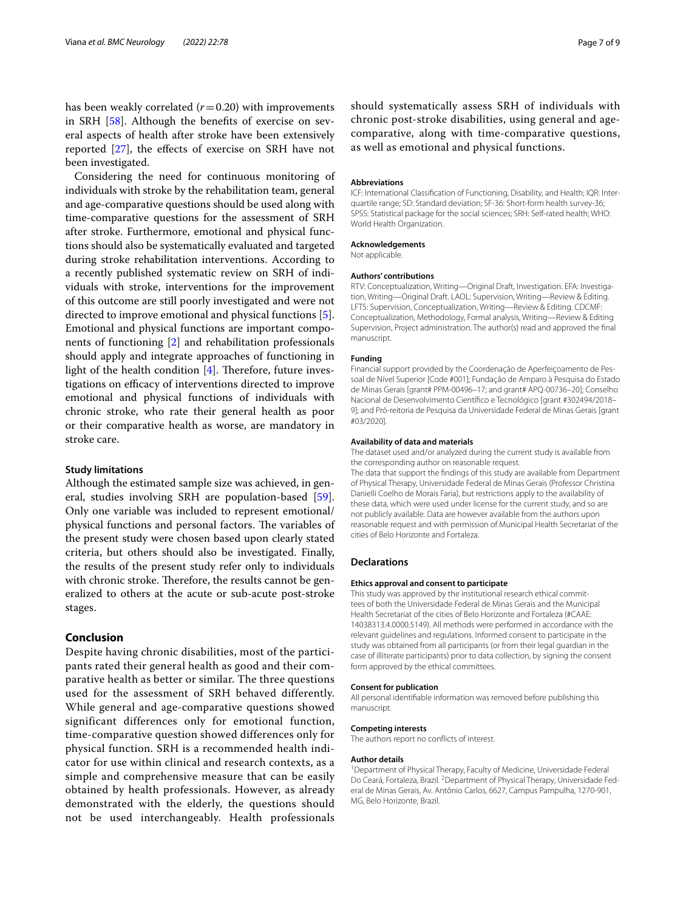has been weakly correlated  $(r=0.20)$  with improvements in SRH [[58\]](#page-8-17). Although the benefts of exercise on several aspects of health after stroke have been extensively reported [[27\]](#page-7-20), the efects of exercise on SRH have not been investigated.

Considering the need for continuous monitoring of individuals with stroke by the rehabilitation team, general and age-comparative questions should be used along with time-comparative questions for the assessment of SRH after stroke. Furthermore, emotional and physical functions should also be systematically evaluated and targeted during stroke rehabilitation interventions. According to a recently published systematic review on SRH of individuals with stroke, interventions for the improvement of this outcome are still poorly investigated and were not directed to improve emotional and physical functions [\[5](#page-7-4)]. Emotional and physical functions are important components of functioning [[2](#page-7-1)] and rehabilitation professionals should apply and integrate approaches of functioning in light of the health condition  $[4]$  $[4]$  $[4]$ . Therefore, future investigations on efficacy of interventions directed to improve emotional and physical functions of individuals with chronic stroke, who rate their general health as poor or their comparative health as worse, are mandatory in stroke care.

#### **Study limitations**

Although the estimated sample size was achieved, in general, studies involving SRH are population-based [\[59](#page-8-18)]. Only one variable was included to represent emotional/ physical functions and personal factors. The variables of the present study were chosen based upon clearly stated criteria, but others should also be investigated. Finally, the results of the present study refer only to individuals with chronic stroke. Therefore, the results cannot be generalized to others at the acute or sub-acute post-stroke stages.

#### **Conclusion**

Despite having chronic disabilities, most of the participants rated their general health as good and their comparative health as better or similar. The three questions used for the assessment of SRH behaved differently. While general and age-comparative questions showed significant differences only for emotional function, time-comparative question showed differences only for physical function. SRH is a recommended health indicator for use within clinical and research contexts, as a simple and comprehensive measure that can be easily obtained by health professionals. However, as already demonstrated with the elderly, the questions should not be used interchangeably. Health professionals should systematically assess SRH of individuals with chronic post-stroke disabilities, using general and agecomparative, along with time-comparative questions, as well as emotional and physical functions.

#### **Abbreviations**

ICF: International Classification of Functioning, Disability, and Health; IQR: Interquartile range; SD: Standard deviation; SF-36: Short-form health survey-36; SPSS: Statistical package for the social sciences; SRH: Self-rated health; WHO: World Health Organization.

#### **Acknowledgements**

Not applicable.

#### **Authors' contributions**

RTV: Conceptualization, Writing-Original Draft, Investigation. EFA: Investigation, Writing—Original Draft. LAOL: Supervision, Writing—Review & Editing. LFTS: Supervision, Conceptualization, Writing—Review & Editing. CDCMF: Conceptualization, Methodology, Formal analysis, Writing—Review & Editing Supervision, Project administration. The author(s) read and approved the fnal manuscript.

#### **Funding**

Financial support provided by the Coordenação de Aperfeiçoamento de Pes‑ soal de Nível Superior [Code #001]; Fundação de Amparo à Pesquisa do Estado de Minas Gerais [grant# PPM-00496–17; and grant# APQ-00736–20]; Conselho Nacional de Desenvolvimento Científco e Tecnológico [grant #302494/2018– 9]; and Pró-reitoria de Pesquisa da Universidade Federal de Minas Gerais [grant #03/2020].

#### **Availability of data and materials**

The dataset used and/or analyzed during the current study is available from the corresponding author on reasonable request.

The data that support the fndings of this study are available from Department of Physical Therapy, Universidade Federal de Minas Gerais (Professor Christina Danielli Coelho de Morais Faria), but restrictions apply to the availability of these data, which were used under license for the current study, and so are not publicly available. Data are however available from the authors upon reasonable request and with permission of Municipal Health Secretariat of the cities of Belo Horizonte and Fortaleza.

#### **Declarations**

#### **Ethics approval and consent to participate**

This study was approved by the institutional research ethical committees of both the Universidade Federal de Minas Gerais and the Municipal Health Secretariat of the cities of Belo Horizonte and Fortaleza (#CAAE: 14038313.4.0000.5149). All methods were performed in accordance with the relevant guidelines and regulations. Informed consent to participate in the study was obtained from all participants (or from their legal guardian in the case of illiterate participants) prior to data collection, by signing the consent form approved by the ethical committees.

#### **Consent for publication**

All personal identifable information was removed before publishing this manuscript.

#### **Competing interests**

The authors report no conficts of interest.

#### **Author details**

<sup>1</sup> Department of Physical Therapy, Faculty of Medicine, Universidade Federal Do Ceará, Fortaleza, Brazil. <sup>2</sup> Department of Physical Therapy, Universidade Federal de Minas Gerais, Av. Antônio Carlos, 6627, Campus Pampulha, 1270‑901, MG, Belo Horizonte, Brazil.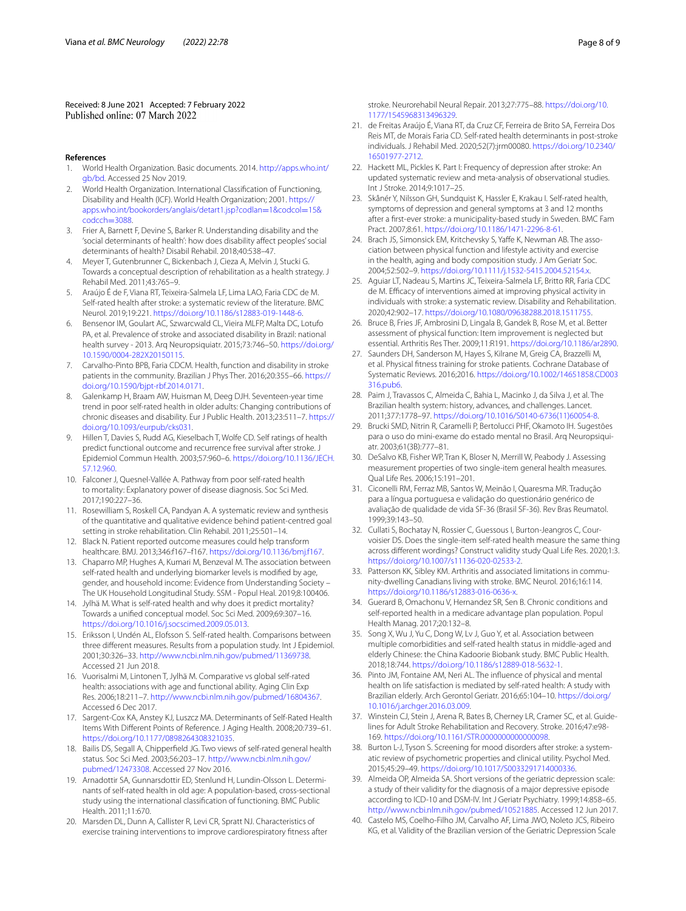Received: 8 June 2021 Accepted: 7 February 2022<br>Published online: 07 March 2022

#### **References**

- <span id="page-7-0"></span>1. World Health Organization. Basic documents. 2014. [http://apps.who.int/](http://apps.who.int/gb/bd) [gb/bd.](http://apps.who.int/gb/bd) Accessed 25 Nov 2019.
- <span id="page-7-1"></span>2. World Health Organization. International Classifcation of Functioning, Disability and Health (ICF). World Health Organization; 2001. [https://](https://apps.who.int/bookorders/anglais/detart1.jsp?codlan=1&codcol=15&codcch=3088) [apps.who.int/bookorders/anglais/detart1.jsp?codlan](https://apps.who.int/bookorders/anglais/detart1.jsp?codlan=1&codcol=15&codcch=3088)=1&codcol=15& codcch=3088.
- <span id="page-7-2"></span>3. [Frier A, Barnett](https://apps.who.int/bookorders/anglais/detart1.jsp?codlan=1&codcol=15&codcch=3088) F, Devine S, Barker R. Understanding disability and the 'social determinants of health': how does disability afect peoples' social determinants of health? Disabil Rehabil. 2018;40:538–47.
- <span id="page-7-3"></span>4. Meyer T, Gutenbrunner C, Bickenbach J, Cieza A, Melvin J, Stucki G. Towards a conceptual description of rehabilitation as a health strategy. J Rehabil Med. 2011;43:765–9.
- <span id="page-7-4"></span>5. Araújo É de F, Viana RT, Teixeira-Salmela LF, Lima LAO, Faria CDC de M. Self-rated health after stroke: a systematic review of the literature. BMC Neurol. 2019;19:221.<https://doi.org/10.1186/s12883-019-1448-6>.
- <span id="page-7-5"></span>6. Bensenor IM, Goulart AC, Szwarcwald CL, Vieira MLFP, Malta DC, Lotufo PA, et al. Prevalence of stroke and associated disability in Brazil: national health survey - 2013. Arq Neuropsiquiatr. 2015;73:746–50. [https://doi.org/](https://doi.org/10.1590/0004-282X20150115) [10.1590/0004-282X20150115.](https://doi.org/10.1590/0004-282X20150115)
- <span id="page-7-6"></span>7. Carvalho-Pinto BPB, Faria CDCM. Health, function and disability in stroke patients in the community. Brazilian J Phys Ther. 2016;20:355–66. [https://](https://doi.org/10.1590/bjpt-rbf.2014.0171) [doi.org/10.1590/bjpt-rbf.2014.0171.](https://doi.org/10.1590/bjpt-rbf.2014.0171)
- <span id="page-7-7"></span>8. Galenkamp H, Braam AW, Huisman M, Deeg DJH. Seventeen-year time trend in poor self-rated health in older adults: Changing contributions of chronic diseases and disability. Eur J Public Health. 2013;23:511–7. [https://](https://doi.org/10.1093/eurpub/cks031) [doi.org/10.1093/eurpub/cks031](https://doi.org/10.1093/eurpub/cks031).
- <span id="page-7-8"></span>9. Hillen T, Davies S, Rudd AG, Kieselbach T, Wolfe CD. Self ratings of health predict functional outcome and recurrence free survival after stroke. J Epidemiol Commun Health. 2003;57:960–6. [https://doi.org/10.1136/JECH.](https://doi.org/10.1136/JECH.57.12.960) [57.12.960.](https://doi.org/10.1136/JECH.57.12.960)
- <span id="page-7-9"></span>10. Falconer J, Quesnel-Vallée A. Pathway from poor self-rated health to mortality: Explanatory power of disease diagnosis. Soc Sci Med. 2017;190:227–36.
- <span id="page-7-10"></span>11. Rosewilliam S, Roskell CA, Pandyan A. A systematic review and synthesis of the quantitative and qualitative evidence behind patient-centred goal setting in stroke rehabilitation. Clin Rehabil. 2011;25:501–14.
- <span id="page-7-11"></span>12. Black N. Patient reported outcome measures could help transform healthcare. BMJ. 2013;346:f167–f167. [https://doi.org/10.1136/bmj.f167.](https://doi.org/10.1136/bmj.f167)
- <span id="page-7-12"></span>13. Chaparro MP, Hughes A, Kumari M, Benzeval M. The association between self-rated health and underlying biomarker levels is modifed by age, gender, and household income: Evidence from Understanding Society – The UK Household Longitudinal Study. SSM - Popul Heal. 2019;8:100406.
- <span id="page-7-13"></span>14. Jylhä M. What is self-rated health and why does it predict mortality? Towards a unifed conceptual model. Soc Sci Med. 2009;69:307–16. [https://doi.org/10.1016/j.socscimed.2009.05.013.](https://doi.org/10.1016/j.socscimed.2009.05.013)
- <span id="page-7-14"></span>15. Eriksson I, Undén AL, Elofsson S. Self-rated health. Comparisons between three diferent measures. Results from a population study. Int J Epidemiol. 2001;30:326–33.<http://www.ncbi.nlm.nih.gov/pubmed/11369738>. Accessed 21 Jun 2018.
- <span id="page-7-15"></span>16. Vuorisalmi M, Lintonen T, Jylhä M. Comparative vs global self-rated health: associations with age and functional ability. Aging Clin Exp Res. 2006;18:211–7. [http://www.ncbi.nlm.nih.gov/pubmed/16804367.](http://www.ncbi.nlm.nih.gov/pubmed/16804367) Accessed 6 Dec 2017.
- <span id="page-7-16"></span>17. Sargent-Cox KA, Anstey KJ, Luszcz MA. Determinants of Self-Rated Health Items With Diferent Points of Reference. J Aging Health. 2008;20:739–61. <https://doi.org/10.1177/0898264308321035>.
- <span id="page-7-17"></span>18. Bailis DS, Segall A, Chipperfeld JG. Two views of self-rated general health status. Soc Sci Med. 2003;56:203–17. [http://www.ncbi.nlm.nih.gov/](http://www.ncbi.nlm.nih.gov/pubmed/12473308) [pubmed/12473308.](http://www.ncbi.nlm.nih.gov/pubmed/12473308) Accessed 27 Nov 2016.
- <span id="page-7-18"></span>19. Arnadottir SA, Gunnarsdottir ED, Stenlund H, Lundin-Olsson L. Determinants of self-rated health in old age: A population-based, cross-sectional study using the international classifcation of functioning. BMC Public Health. 2011;11:670.
- <span id="page-7-19"></span>20. Marsden DL, Dunn A, Callister R, Levi CR, Spratt NJ. Characteristics of exercise training interventions to improve cardiorespiratory ftness after

stroke. Neurorehabil Neural Repair. 2013;27:775–88. [https://doi.org/10.](https://doi.org/10.1177/1545968313496329) [1177/1545968313496329.](https://doi.org/10.1177/1545968313496329)

- 21. de Freitas Araújo É, Viana RT, da Cruz CF, Ferreira de Brito SA, Ferreira Dos Reis MT, de Morais Faria CD. Self-rated health determinants in post-stroke individuals. J Rehabil Med. 2020;52(7):jrm00080. [https://doi.org/10.2340/](https://doi.org/10.2340/16501977-2712) [16501977-2712.](https://doi.org/10.2340/16501977-2712)
- 22. Hackett ML, Pickles K. Part I: Frequency of depression after stroke: An updated systematic review and meta-analysis of observational studies. Int J Stroke. 2014;9:1017–25.
- <span id="page-7-34"></span>23. Skånér Y, Nilsson GH, Sundquist K, Hassler E, Krakau I. Self-rated health, symptoms of depression and general symptoms at 3 and 12 months after a frst-ever stroke: a municipality-based study in Sweden. BMC Fam Pract. 2007;8:61. [https://doi.org/10.1186/1471-2296-8-61.](https://doi.org/10.1186/1471-2296-8-61)
- 24. Brach JS, Simonsick EM, Kritchevsky S, Yaffe K, Newman AB. The association between physical function and lifestyle activity and exercise in the health, aging and body composition study. J Am Geriatr Soc. 2004;52:502–9. [https://doi.org/10.1111/j.1532-5415.2004.52154.x.](https://doi.org/10.1111/j.1532-5415.2004.52154.x)
- 25. Aguiar LT, Nadeau S, Martins JC, Teixeira-Salmela LF, Britto RR, Faria CDC de M. Efficacy of interventions aimed at improving physical activity in individuals with stroke: a systematic review. Disability and Rehabilitation. 2020;42:902–17.<https://doi.org/10.1080/09638288.2018.1511755>.
- 26. Bruce B, Fries JF, Ambrosini D, Lingala B, Gandek B, Rose M, et al. Better assessment of physical function: Item improvement is neglected but essential. Arthritis Res Ther. 2009;11:R191. [https://doi.org/10.1186/ar2890.](https://doi.org/10.1186/ar2890)
- <span id="page-7-20"></span>27. Saunders DH, Sanderson M, Hayes S, Kilrane M, Greig CA, Brazzelli M, et al. Physical ftness training for stroke patients. Cochrane Database of Systematic Reviews. 2016;2016. [https://doi.org/10.1002/14651858.CD003](https://doi.org/10.1002/14651858.CD003316.pub6) [316.pub6.](https://doi.org/10.1002/14651858.CD003316.pub6)
- <span id="page-7-21"></span>28. Paim J, Travassos C, Almeida C, Bahia L, Macinko J, da Silva J, et al. The Brazilian health system: history, advances, and challenges. Lancet. 2011;377:1778–97. [https://doi.org/10.1016/S0140-6736\(11\)60054-8.](https://doi.org/10.1016/S0140-6736(11)60054-8)
- <span id="page-7-22"></span>29. Brucki SMD, Nitrin R, Caramelli P, Bertolucci PHF, Okamoto IH. Sugestões para o uso do mini-exame do estado mental no Brasil. Arq Neuropsiquiatr. 2003;61(3B):777–81.
- <span id="page-7-23"></span>30. DeSalvo KB, Fisher WP, Tran K, Bloser N, Merrill W, Peabody J. Assessing measurement properties of two single-item general health measures. Qual Life Res. 2006;15:191–201.
- <span id="page-7-24"></span>31. Ciconelli RM, Ferraz MB, Santos W, Meinão I, Quaresma MR. Tradução para a língua portuguesa e validação do questionário genérico de avaliação de qualidade de vida SF-36 (Brasil SF-36). Rev Bras Reumatol. 1999;39:143–50.
- <span id="page-7-25"></span>32. Cullati S, Bochatay N, Rossier C, Guessous I, Burton-Jeangros C, Courvoisier DS. Does the single-item self-rated health measure the same thing across diferent wordings? Construct validity study Qual Life Res. 2020;1:3. <https://doi.org/10.1007/s11136-020-02533-2>.
- <span id="page-7-26"></span>33. Patterson KK, Sibley KM. Arthritis and associated limitations in community-dwelling Canadians living with stroke. BMC Neurol. 2016;16:114. <https://doi.org/10.1186/s12883-016-0636-x>.
- <span id="page-7-27"></span>34. Guerard B, Omachonu V, Hernandez SR, Sen B. Chronic conditions and self-reported health in a medicare advantage plan population. Popul Health Manag. 2017;20:132–8.
- <span id="page-7-28"></span>35. Song X, Wu J, Yu C, Dong W, Lv J, Guo Y, et al. Association between multiple comorbidities and self-rated health status in middle-aged and elderly Chinese: the China Kadoorie Biobank study. BMC Public Health. 2018;18:744.<https://doi.org/10.1186/s12889-018-5632-1>.
- <span id="page-7-29"></span>36. Pinto JM, Fontaine AM, Neri AL. The infuence of physical and mental health on life satisfaction is mediated by self-rated health: A study with Brazilian elderly. Arch Gerontol Geriatr. 2016;65:104–10. [https://doi.org/](https://doi.org/10.1016/j.archger.2016.03.009) [10.1016/j.archger.2016.03.009.](https://doi.org/10.1016/j.archger.2016.03.009)
- <span id="page-7-30"></span>37. Winstein CJ, Stein J, Arena R, Bates B, Cherney LR, Cramer SC, et al. Guidelines for Adult Stroke Rehabilitation and Recovery. Stroke. 2016;47:e98-169. <https://doi.org/10.1161/STR.0000000000000098>.
- <span id="page-7-31"></span>38. Burton L-J, Tyson S. Screening for mood disorders after stroke: a systematic review of psychometric properties and clinical utility. Psychol Med. 2015;45:29–49. [https://doi.org/10.1017/S0033291714000336.](https://doi.org/10.1017/S0033291714000336)
- <span id="page-7-32"></span>39. Almeida OP, Almeida SA. Short versions of the geriatric depression scale: a study of their validity for the diagnosis of a major depressive episode according to ICD-10 and DSM-IV. Int J Geriatr Psychiatry. 1999;14:858–65. [http://www.ncbi.nlm.nih.gov/pubmed/10521885.](http://www.ncbi.nlm.nih.gov/pubmed/10521885) Accessed 12 Jun 2017.
- <span id="page-7-33"></span>40. Castelo MS, Coelho-Filho JM, Carvalho AF, Lima JWO, Noleto JCS, Ribeiro KG, et al. Validity of the Brazilian version of the Geriatric Depression Scale